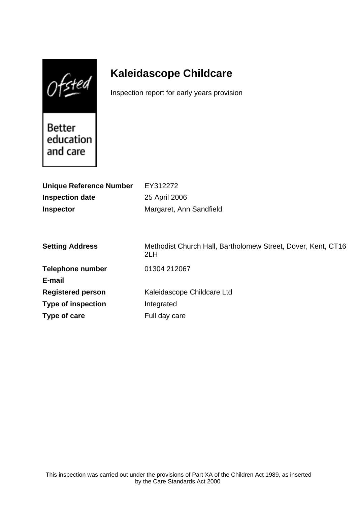$0$ fsted

# **Kaleidascope Childcare**

Inspection report for early years provision

Better education and care

| <b>Inspection date</b><br>25 April 2006                                                       |  |
|-----------------------------------------------------------------------------------------------|--|
|                                                                                               |  |
| Margaret, Ann Sandfield<br><b>Inspector</b>                                                   |  |
|                                                                                               |  |
|                                                                                               |  |
| <b>Setting Address</b><br>Methodist Church Hall, Bartholomew Street, Dover, Kent, CT16<br>2LH |  |
| <b>Telephone number</b><br>01304 212067                                                       |  |
| E-mail                                                                                        |  |
| Kaleidascope Childcare Ltd<br><b>Registered person</b>                                        |  |
| <b>Type of inspection</b><br>Integrated                                                       |  |
| Type of care<br>Full day care                                                                 |  |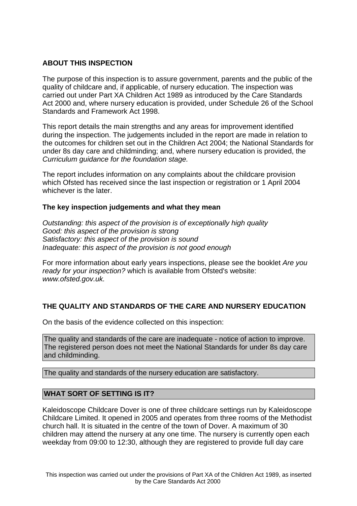### **ABOUT THIS INSPECTION**

The purpose of this inspection is to assure government, parents and the public of the quality of childcare and, if applicable, of nursery education. The inspection was carried out under Part XA Children Act 1989 as introduced by the Care Standards Act 2000 and, where nursery education is provided, under Schedule 26 of the School Standards and Framework Act 1998.

This report details the main strengths and any areas for improvement identified during the inspection. The judgements included in the report are made in relation to the outcomes for children set out in the Children Act 2004; the National Standards for under 8s day care and childminding; and, where nursery education is provided, the Curriculum guidance for the foundation stage.

The report includes information on any complaints about the childcare provision which Ofsted has received since the last inspection or registration or 1 April 2004 whichever is the later.

#### **The key inspection judgements and what they mean**

Outstanding: this aspect of the provision is of exceptionally high quality Good: this aspect of the provision is strong Satisfactory: this aspect of the provision is sound Inadequate: this aspect of the provision is not good enough

For more information about early years inspections, please see the booklet Are you ready for your inspection? which is available from Ofsted's website: www.ofsted.gov.uk.

#### **THE QUALITY AND STANDARDS OF THE CARE AND NURSERY EDUCATION**

On the basis of the evidence collected on this inspection:

The quality and standards of the care are inadequate - notice of action to improve. The registered person does not meet the National Standards for under 8s day care and childminding.

The quality and standards of the nursery education are satisfactory.

#### **WHAT SORT OF SETTING IS IT?**

Kaleidoscope Childcare Dover is one of three childcare settings run by Kaleidoscope Childcare Limited. It opened in 2005 and operates from three rooms of the Methodist church hall. It is situated in the centre of the town of Dover. A maximum of 30 children may attend the nursery at any one time. The nursery is currently open each weekday from 09:00 to 12:30, although they are registered to provide full day care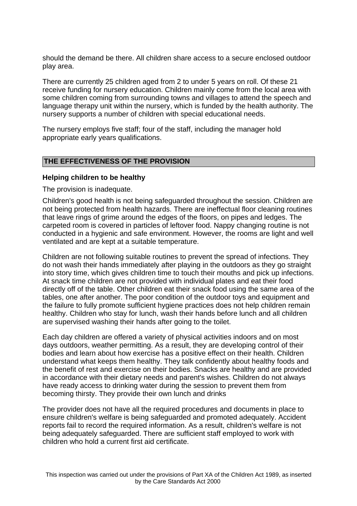should the demand be there. All children share access to a secure enclosed outdoor play area.

There are currently 25 children aged from 2 to under 5 years on roll. Of these 21 receive funding for nursery education. Children mainly come from the local area with some children coming from surrounding towns and villages to attend the speech and language therapy unit within the nursery, which is funded by the health authority. The nursery supports a number of children with special educational needs.

The nursery employs five staff; four of the staff, including the manager hold appropriate early years qualifications.

## **THE EFFECTIVENESS OF THE PROVISION**

#### **Helping children to be healthy**

The provision is inadequate.

Children's good health is not being safeguarded throughout the session. Children are not being protected from health hazards. There are ineffectual floor cleaning routines that leave rings of grime around the edges of the floors, on pipes and ledges. The carpeted room is covered in particles of leftover food. Nappy changing routine is not conducted in a hygienic and safe environment. However, the rooms are light and well ventilated and are kept at a suitable temperature.

Children are not following suitable routines to prevent the spread of infections. They do not wash their hands immediately after playing in the outdoors as they go straight into story time, which gives children time to touch their mouths and pick up infections. At snack time children are not provided with individual plates and eat their food directly off of the table. Other children eat their snack food using the same area of the tables, one after another. The poor condition of the outdoor toys and equipment and the failure to fully promote sufficient hygiene practices does not help children remain healthy. Children who stay for lunch, wash their hands before lunch and all children are supervised washing their hands after going to the toilet.

Each day children are offered a variety of physical activities indoors and on most days outdoors, weather permitting. As a result, they are developing control of their bodies and learn about how exercise has a positive effect on their health. Children understand what keeps them healthy. They talk confidently about healthy foods and the benefit of rest and exercise on their bodies. Snacks are healthy and are provided in accordance with their dietary needs and parent's wishes. Children do not always have ready access to drinking water during the session to prevent them from becoming thirsty. They provide their own lunch and drinks

The provider does not have all the required procedures and documents in place to ensure children's welfare is being safeguarded and promoted adequately. Accident reports fail to record the required information. As a result, children's welfare is not being adequately safeguarded. There are sufficient staff employed to work with children who hold a current first aid certificate.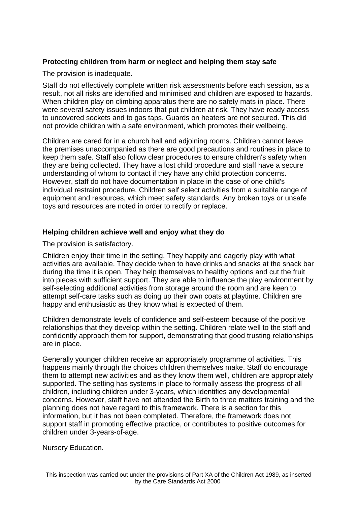# **Protecting children from harm or neglect and helping them stay safe**

The provision is inadequate.

Staff do not effectively complete written risk assessments before each session, as a result, not all risks are identified and minimised and children are exposed to hazards. When children play on climbing apparatus there are no safety mats in place. There were several safety issues indoors that put children at risk. They have ready access to uncovered sockets and to gas taps. Guards on heaters are not secured. This did not provide children with a safe environment, which promotes their wellbeing.

Children are cared for in a church hall and adjoining rooms. Children cannot leave the premises unaccompanied as there are good precautions and routines in place to keep them safe. Staff also follow clear procedures to ensure children's safety when they are being collected. They have a lost child procedure and staff have a secure understanding of whom to contact if they have any child protection concerns. However, staff do not have documentation in place in the case of one child's individual restraint procedure. Children self select activities from a suitable range of equipment and resources, which meet safety standards. Any broken toys or unsafe toys and resources are noted in order to rectify or replace.

## **Helping children achieve well and enjoy what they do**

The provision is satisfactory.

Children enjoy their time in the setting. They happily and eagerly play with what activities are available. They decide when to have drinks and snacks at the snack bar during the time it is open. They help themselves to healthy options and cut the fruit into pieces with sufficient support. They are able to influence the play environment by self-selecting additional activities from storage around the room and are keen to attempt self-care tasks such as doing up their own coats at playtime. Children are happy and enthusiastic as they know what is expected of them.

Children demonstrate levels of confidence and self-esteem because of the positive relationships that they develop within the setting. Children relate well to the staff and confidently approach them for support, demonstrating that good trusting relationships are in place.

Generally younger children receive an appropriately programme of activities. This happens mainly through the choices children themselves make. Staff do encourage them to attempt new activities and as they know them well, children are appropriately supported. The setting has systems in place to formally assess the progress of all children, including children under 3-years, which identifies any developmental concerns. However, staff have not attended the Birth to three matters training and the planning does not have regard to this framework. There is a section for this information, but it has not been completed. Therefore, the framework does not support staff in promoting effective practice, or contributes to positive outcomes for children under 3-years-of-age.

Nursery Education.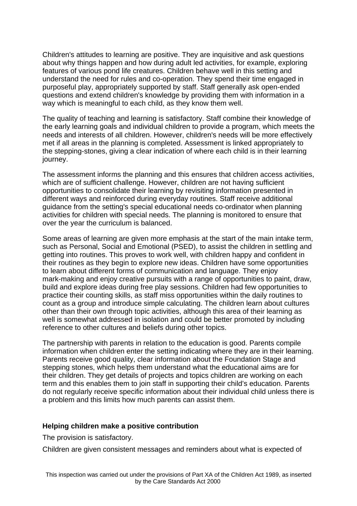Children's attitudes to learning are positive. They are inquisitive and ask questions about why things happen and how during adult led activities, for example, exploring features of various pond life creatures. Children behave well in this setting and understand the need for rules and co-operation. They spend their time engaged in purposeful play, appropriately supported by staff. Staff generally ask open-ended questions and extend children's knowledge by providing them with information in a way which is meaningful to each child, as they know them well.

The quality of teaching and learning is satisfactory. Staff combine their knowledge of the early learning goals and individual children to provide a program, which meets the needs and interests of all children. However, children's needs will be more effectively met if all areas in the planning is completed. Assessment is linked appropriately to the stepping-stones, giving a clear indication of where each child is in their learning journey.

The assessment informs the planning and this ensures that children access activities, which are of sufficient challenge. However, children are not having sufficient opportunities to consolidate their learning by revisiting information presented in different ways and reinforced during everyday routines. Staff receive additional guidance from the setting's special educational needs co-ordinator when planning activities for children with special needs. The planning is monitored to ensure that over the year the curriculum is balanced.

Some areas of learning are given more emphasis at the start of the main intake term, such as Personal, Social and Emotional (PSED), to assist the children in settling and getting into routines. This proves to work well, with children happy and confident in their routines as they begin to explore new ideas. Children have some opportunities to learn about different forms of communication and language. They enjoy mark-making and enjoy creative pursuits with a range of opportunities to paint, draw, build and explore ideas during free play sessions. Children had few opportunities to practice their counting skills, as staff miss opportunities within the daily routines to count as a group and introduce simple calculating. The children learn about cultures other than their own through topic activities, although this area of their learning as well is somewhat addressed in isolation and could be better promoted by including reference to other cultures and beliefs during other topics.

The partnership with parents in relation to the education is good. Parents compile information when children enter the setting indicating where they are in their learning. Parents receive good quality, clear information about the Foundation Stage and stepping stones, which helps them understand what the educational aims are for their children. They get details of projects and topics children are working on each term and this enables them to join staff in supporting their child's education. Parents do not regularly receive specific information about their individual child unless there is a problem and this limits how much parents can assist them.

#### **Helping children make a positive contribution**

The provision is satisfactory.

Children are given consistent messages and reminders about what is expected of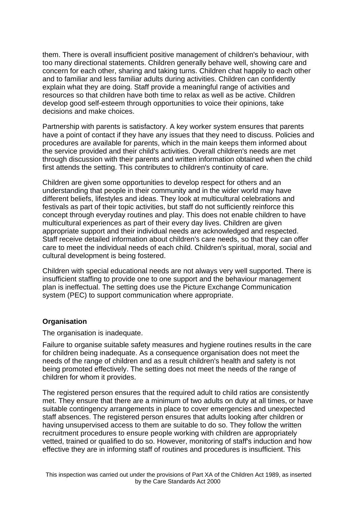them. There is overall insufficient positive management of children's behaviour, with too many directional statements. Children generally behave well, showing care and concern for each other, sharing and taking turns. Children chat happily to each other and to familiar and less familiar adults during activities. Children can confidently explain what they are doing. Staff provide a meaningful range of activities and resources so that children have both time to relax as well as be active. Children develop good self-esteem through opportunities to voice their opinions, take decisions and make choices.

Partnership with parents is satisfactory. A key worker system ensures that parents have a point of contact if they have any issues that they need to discuss. Policies and procedures are available for parents, which in the main keeps them informed about the service provided and their child's activities. Overall children's needs are met through discussion with their parents and written information obtained when the child first attends the setting. This contributes to children's continuity of care.

Children are given some opportunities to develop respect for others and an understanding that people in their community and in the wider world may have different beliefs, lifestyles and ideas. They look at multicultural celebrations and festivals as part of their topic activities, but staff do not sufficiently reinforce this concept through everyday routines and play. This does not enable children to have multicultural experiences as part of their every day lives. Children are given appropriate support and their individual needs are acknowledged and respected. Staff receive detailed information about children's care needs, so that they can offer care to meet the individual needs of each child. Children's spiritual, moral, social and cultural development is being fostered.

Children with special educational needs are not always very well supported. There is insufficient staffing to provide one to one support and the behaviour management plan is ineffectual. The setting does use the Picture Exchange Communication system (PEC) to support communication where appropriate.

#### **Organisation**

The organisation is inadequate.

Failure to organise suitable safety measures and hygiene routines results in the care for children being inadequate. As a consequence organisation does not meet the needs of the range of children and as a result children's health and safety is not being promoted effectively. The setting does not meet the needs of the range of children for whom it provides.

The registered person ensures that the required adult to child ratios are consistently met. They ensure that there are a minimum of two adults on duty at all times, or have suitable contingency arrangements in place to cover emergencies and unexpected staff absences. The registered person ensures that adults looking after children or having unsupervised access to them are suitable to do so. They follow the written recruitment procedures to ensure people working with children are appropriately vetted, trained or qualified to do so. However, monitoring of staff's induction and how effective they are in informing staff of routines and procedures is insufficient. This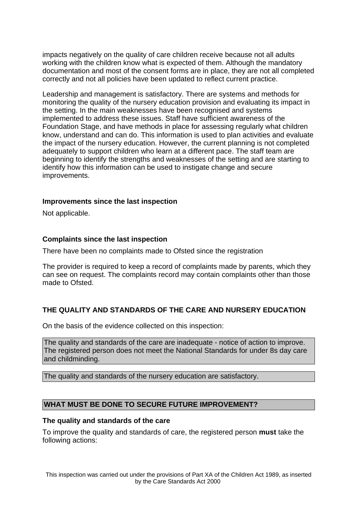impacts negatively on the quality of care children receive because not all adults working with the children know what is expected of them. Although the mandatory documentation and most of the consent forms are in place, they are not all completed correctly and not all policies have been updated to reflect current practice.

Leadership and management is satisfactory. There are systems and methods for monitoring the quality of the nursery education provision and evaluating its impact in the setting. In the main weaknesses have been recognised and systems implemented to address these issues. Staff have sufficient awareness of the Foundation Stage, and have methods in place for assessing regularly what children know, understand and can do. This information is used to plan activities and evaluate the impact of the nursery education. However, the current planning is not completed adequately to support children who learn at a different pace. The staff team are beginning to identify the strengths and weaknesses of the setting and are starting to identify how this information can be used to instigate change and secure improvements.

#### **Improvements since the last inspection**

Not applicable.

#### **Complaints since the last inspection**

There have been no complaints made to Ofsted since the registration

The provider is required to keep a record of complaints made by parents, which they can see on request. The complaints record may contain complaints other than those made to Ofsted.

# **THE QUALITY AND STANDARDS OF THE CARE AND NURSERY EDUCATION**

On the basis of the evidence collected on this inspection:

The quality and standards of the care are inadequate - notice of action to improve. The registered person does not meet the National Standards for under 8s day care and childminding.

The quality and standards of the nursery education are satisfactory.

#### **WHAT MUST BE DONE TO SECURE FUTURE IMPROVEMENT?**

#### **The quality and standards of the care**

To improve the quality and standards of care, the registered person **must** take the following actions: